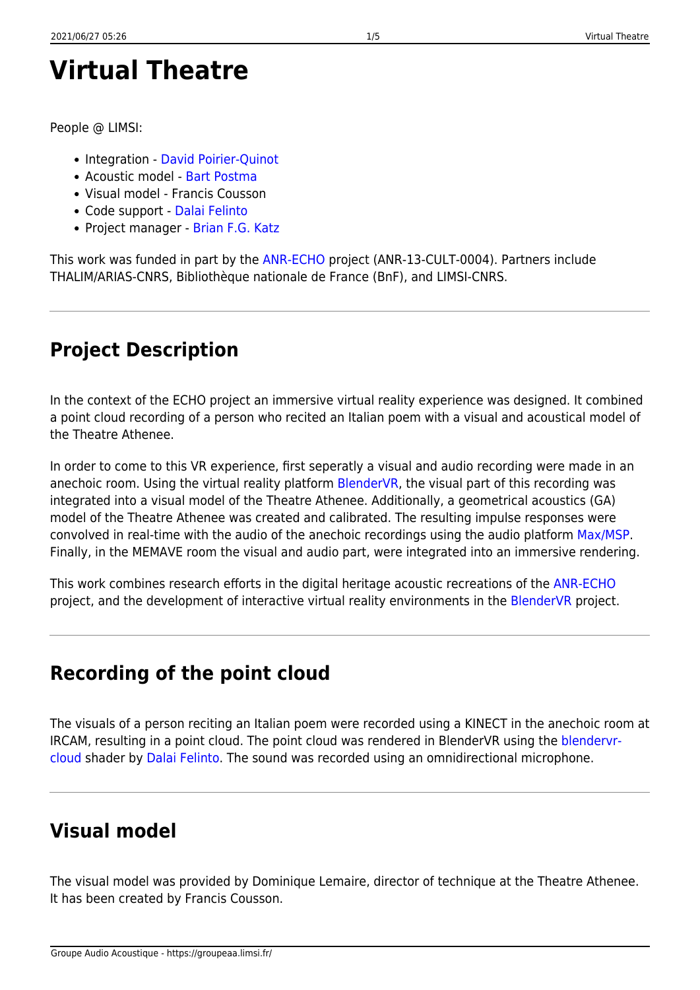# **Virtual Theatre**

People @ LIMSI:

- Integration [David Poirier-Quinot](http://www.limsi.fr/Annuaire/infos?id=davipoir)
- Acoustic model - [Bart Postma](https://archives.limsi.fr/Annuaire/infos?id=postma)
- Visual model Francis Cousson
- Code support [Dalai Felinto](http://www.dalaifelinto.com/)
- Project manager - [Brian F.G. Katz](http://perso.limsi.fr/katz/)

This work was funded in part by the [ANR-ECHO](https://echo-projet.limsi.fr/) project (ANR-13-CULT-0004). Partners include THALIM/ARIAS-CNRS, Bibliothèque nationale de France (BnF), and LIMSI-CNRS.

# **Project Description**

In the context of the ECHO project an immersive virtual reality experience was designed. It combined a point cloud recording of a person who recited an Italian poem with a visual and acoustical model of the Theatre Athenee.

In order to come to this VR experience, first seperatly a visual and audio recording were made in an anechoic room. Using the virtual reality platform [BlenderVR](https://blendervr.limsi.fr), the visual part of this recording was integrated into a visual model of the Theatre Athenee. Additionally, a geometrical acoustics (GA) model of the Theatre Athenee was created and calibrated. The resulting impulse responses were convolved in real-time with the audio of the anechoic recordings using the audio platform [Max/MSP.](https://cycling74.com/) Finally, in the MEMAVE room the visual and audio part, were integrated into an immersive rendering.

This work combines research efforts in the digital heritage acoustic recreations of the [ANR-ECHO](https://echo-projet.limsi.fr/) project, and the development of interactive virtual reality environments in the [BlenderVR](https://blendervr.limsi.fr) project.

## **Recording of the point cloud**

The visuals of a person reciting an Italian poem were recorded using a KINECT in the anechoic room at IRCAM, resulting in a point cloud. The point cloud was rendered in BlenderVR using the [blendervr](https://github.com/dfelinto/blendervr-cloud)[cloud](https://github.com/dfelinto/blendervr-cloud) shader by [Dalai Felinto.](http://www.dalaifelinto.com/) The sound was recorded using an omnidirectional microphone.

# **Visual model**

The visual model was provided by Dominique Lemaire, director of technique at the Theatre Athenee. It has been created by Francis Cousson.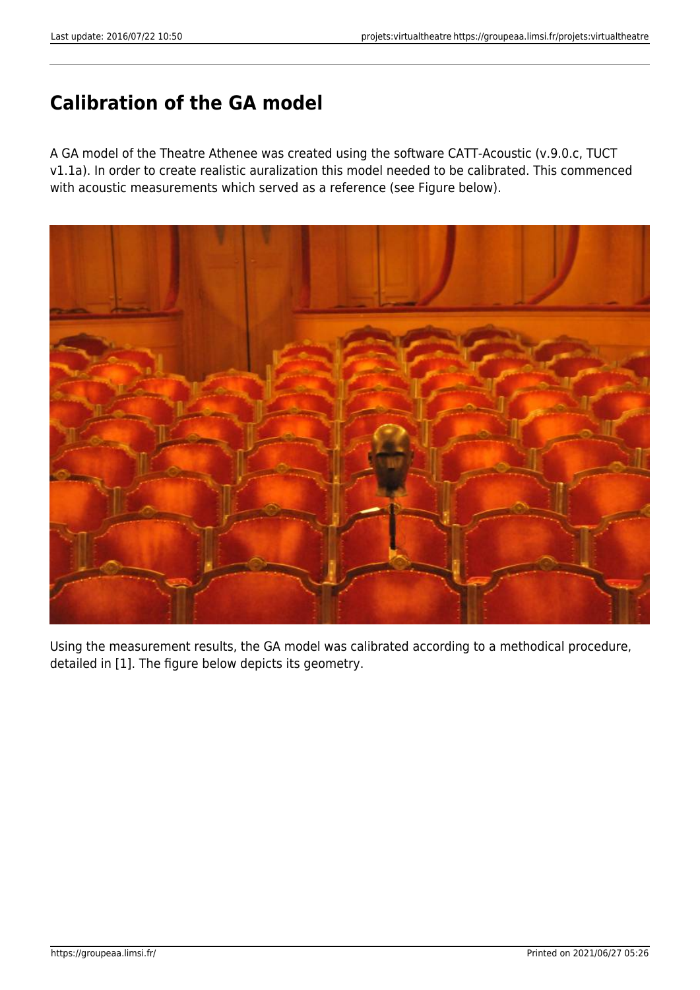## **Calibration of the GA model**

A GA model of the Theatre Athenee was created using the software CATT-Acoustic (v.9.0.c, TUCT v1.1a). In order to create realistic auralization this model needed to be calibrated. This commenced with acoustic measurements which served as a reference (see Figure below).



Using the measurement results, the GA model was calibrated according to a methodical procedure, detailed in [1]. The figure below depicts its geometry.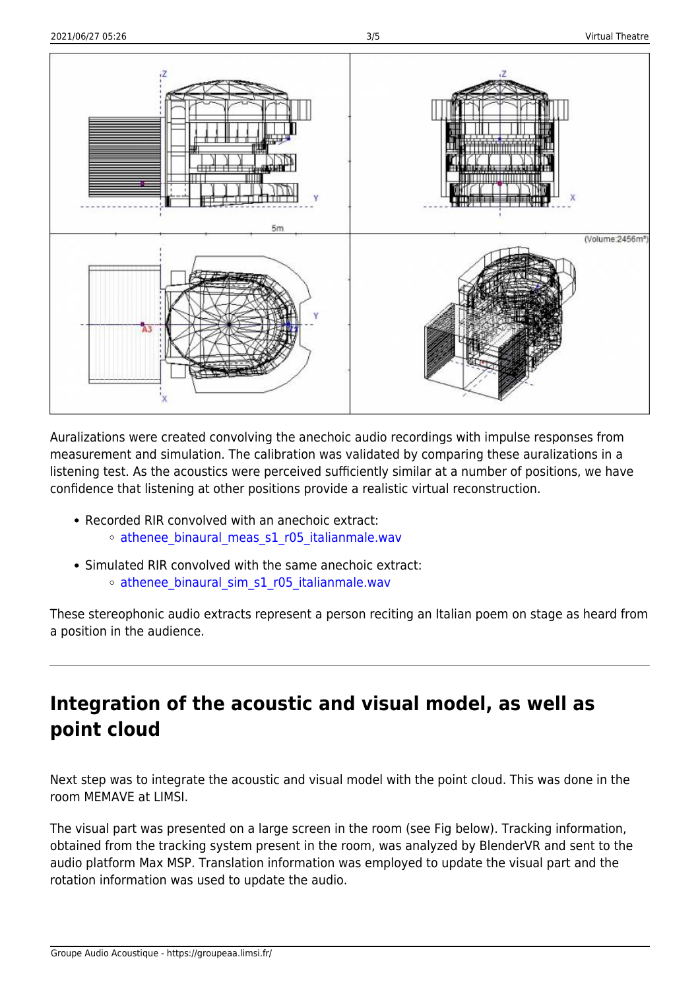

Auralizations were created convolving the anechoic audio recordings with impulse responses from measurement and simulation. The calibration was validated by comparing these auralizations in a listening test. As the acoustics were perceived sufficiently similar at a number of positions, we have confidence that listening at other positions provide a realistic virtual reconstruction.

- Recorded RIR convolved with an anechoic extract: o athenee binaural meas s1 r05 italianmale.wav
- Simulated RIR convolved with the same anechoic extract: o athenee binaural sim s1 r05 italianmale.wav

These stereophonic audio extracts represent a person reciting an Italian poem on stage as heard from a position in the audience.

### **Integration of the acoustic and visual model, as well as point cloud**

Next step was to integrate the acoustic and visual model with the point cloud. This was done in the room MEMAVE at LIMSI.

The visual part was presented on a large screen in the room (see Fig below). Tracking information, obtained from the tracking system present in the room, was analyzed by BlenderVR and sent to the audio platform Max MSP. Translation information was employed to update the visual part and the rotation information was used to update the audio.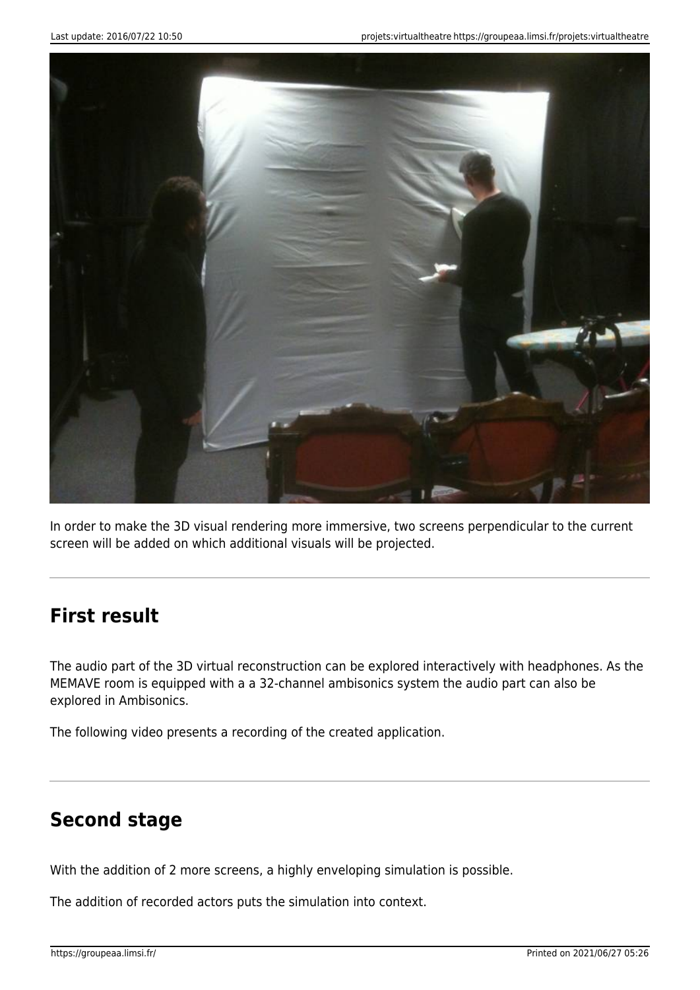

In order to make the 3D visual rendering more immersive, two screens perpendicular to the current screen will be added on which additional visuals will be projected.

#### **First result**

The audio part of the 3D virtual reconstruction can be explored interactively with headphones. As the MEMAVE room is equipped with a a 32-channel ambisonics system the audio part can also be explored in Ambisonics.

The following video presents a recording of the created application.

#### **Second stage**

With the addition of 2 more screens, a highly enveloping simulation is possible.

The addition of recorded actors puts the simulation into context.